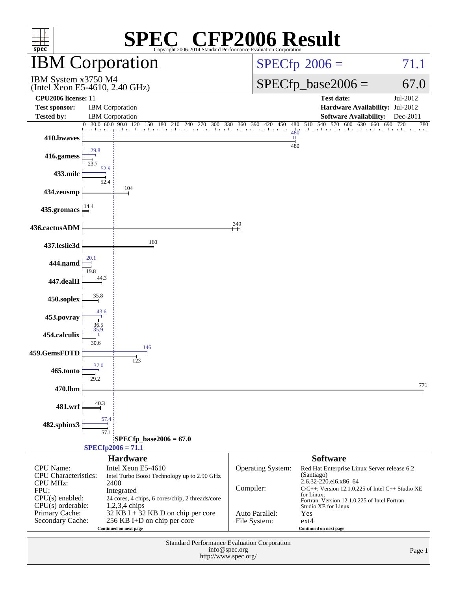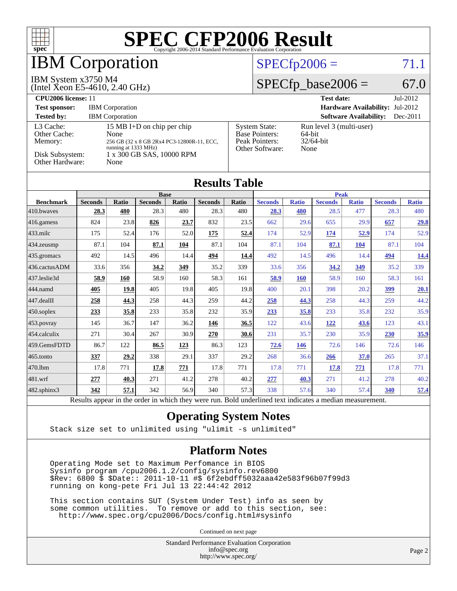

Results appear in the [order in which they were run.](http://www.spec.org/auto/cpu2006/Docs/result-fields.html#RunOrder) Bold underlined text [indicates a median measurement.](http://www.spec.org/auto/cpu2006/Docs/result-fields.html#Median)

#### **[Operating System Notes](http://www.spec.org/auto/cpu2006/Docs/result-fields.html#OperatingSystemNotes)**

Stack size set to unlimited using "ulimit -s unlimited"

#### **[Platform Notes](http://www.spec.org/auto/cpu2006/Docs/result-fields.html#PlatformNotes)**

 Operating Mode set to Maximum Perfomance in BIOS Sysinfo program /cpu2006.1.2/config/sysinfo.rev6800 \$Rev: 6800 \$ \$Date:: 2011-10-11 #\$ 6f2ebdff5032aaa42e583f96b07f99d3 running on kong-pete Fri Jul 13 22:44:42 2012

 This section contains SUT (System Under Test) info as seen by some common utilities. To remove or add to this section, see: <http://www.spec.org/cpu2006/Docs/config.html#sysinfo>

Continued on next page

Standard Performance Evaluation Corporation [info@spec.org](mailto:info@spec.org) <http://www.spec.org/>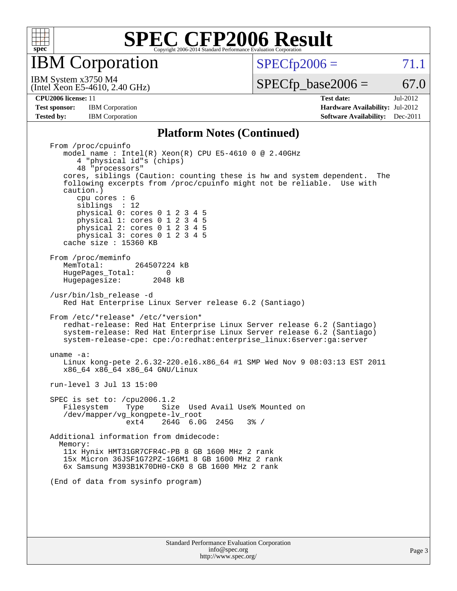

IBM Corporation

 $SPECTp2006 = 71.1$ 

(Intel Xeon E5-4610, 2.40 GHz) IBM System x3750 M4

 $SPECfp\_base2006 = 67.0$ 

**[Test sponsor:](http://www.spec.org/auto/cpu2006/Docs/result-fields.html#Testsponsor)** IBM Corporation **[Hardware Availability:](http://www.spec.org/auto/cpu2006/Docs/result-fields.html#HardwareAvailability)** Jul-2012

**[CPU2006 license:](http://www.spec.org/auto/cpu2006/Docs/result-fields.html#CPU2006license)** 11 **[Test date:](http://www.spec.org/auto/cpu2006/Docs/result-fields.html#Testdate)** Jul-2012 **[Tested by:](http://www.spec.org/auto/cpu2006/Docs/result-fields.html#Testedby)** IBM Corporation **[Software Availability:](http://www.spec.org/auto/cpu2006/Docs/result-fields.html#SoftwareAvailability)** Dec-2011

#### **[Platform Notes \(Continued\)](http://www.spec.org/auto/cpu2006/Docs/result-fields.html#PlatformNotes)**

 From /proc/cpuinfo model name : Intel(R) Xeon(R) CPU E5-4610 0 @ 2.40GHz 4 "physical id"s (chips) 48 "processors" cores, siblings (Caution: counting these is hw and system dependent. The following excerpts from /proc/cpuinfo might not be reliable. Use with caution.) cpu cores : 6 siblings : 12 physical 0: cores 0 1 2 3 4 5 physical 1: cores 0 1 2 3 4 5 physical 2: cores 0 1 2 3 4 5 physical 3: cores 0 1 2 3 4 5 cache size : 15360 KB From /proc/meminfo<br>MemTotal: 264507224 kB HugePages\_Total: 0<br>Hugepagesize: 2048 kB Hugepagesize: /usr/bin/lsb\_release -d Red Hat Enterprise Linux Server release 6.2 (Santiago) From /etc/\*release\* /etc/\*version\* redhat-release: Red Hat Enterprise Linux Server release 6.2 (Santiago) system-release: Red Hat Enterprise Linux Server release 6.2 (Santiago) system-release-cpe: cpe:/o:redhat:enterprise\_linux:6server:ga:server uname -a: Linux kong-pete 2.6.32-220.el6.x86\_64 #1 SMP Wed Nov 9 08:03:13 EST 2011 x86\_64 x86\_64 x86\_64 GNU/Linux run-level 3 Jul 13 15:00 SPEC is set to: /cpu2006.1.2 Filesystem Type Size Used Avail Use% Mounted on /dev/mapper/vg\_kongpete-lv\_root ext4 264G 6.0G 245G 3% / Additional information from dmidecode: Memory: 11x Hynix HMT31GR7CFR4C-PB 8 GB 1600 MHz 2 rank 15x Micron 36JSF1G72PZ-1G6M1 8 GB 1600 MHz 2 rank 6x Samsung M393B1K70DH0-CK0 8 GB 1600 MHz 2 rank (End of data from sysinfo program)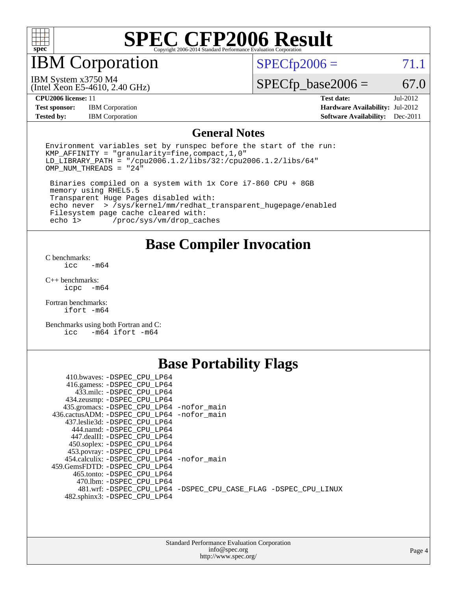

### IBM Corporation

 $SPECTp2006 = 71.1$ 

IBM System x3750 M4

 $SPECfp\_base2006 = 67.0$ 

**[Test sponsor:](http://www.spec.org/auto/cpu2006/Docs/result-fields.html#Testsponsor)** IBM Corporation **[Hardware Availability:](http://www.spec.org/auto/cpu2006/Docs/result-fields.html#HardwareAvailability)** Jul-2012 **[Tested by:](http://www.spec.org/auto/cpu2006/Docs/result-fields.html#Testedby)** IBM Corporation **[Software Availability:](http://www.spec.org/auto/cpu2006/Docs/result-fields.html#SoftwareAvailability)** Dec-2011

(Intel Xeon E5-4610, 2.40 GHz)

**[CPU2006 license:](http://www.spec.org/auto/cpu2006/Docs/result-fields.html#CPU2006license)** 11 **[Test date:](http://www.spec.org/auto/cpu2006/Docs/result-fields.html#Testdate)** Jul-2012

#### **[General Notes](http://www.spec.org/auto/cpu2006/Docs/result-fields.html#GeneralNotes)**

Environment variables set by runspec before the start of the run: KMP\_AFFINITY = "granularity=fine,compact,1,0" LD\_LIBRARY\_PATH = "/cpu2006.1.2/libs/32:/cpu2006.1.2/libs/64"  $OMP_NUM_THREADS = "24"$ 

 Binaries compiled on a system with 1x Core i7-860 CPU + 8GB memory using RHEL5.5 Transparent Huge Pages disabled with: echo never > /sys/kernel/mm/redhat\_transparent\_hugepage/enabled Filesystem page cache cleared with:<br>echo 1> /proc/sys/vm/drop cac /proc/sys/vm/drop\_caches

**[Base Compiler Invocation](http://www.spec.org/auto/cpu2006/Docs/result-fields.html#BaseCompilerInvocation)**

[C benchmarks](http://www.spec.org/auto/cpu2006/Docs/result-fields.html#Cbenchmarks):  $\text{icc}$   $-\text{m64}$ 

[C++ benchmarks:](http://www.spec.org/auto/cpu2006/Docs/result-fields.html#CXXbenchmarks) [icpc -m64](http://www.spec.org/cpu2006/results/res2012q3/cpu2006-20120716-23718.flags.html#user_CXXbase_intel_icpc_64bit_bedb90c1146cab66620883ef4f41a67e)

[Fortran benchmarks](http://www.spec.org/auto/cpu2006/Docs/result-fields.html#Fortranbenchmarks): [ifort -m64](http://www.spec.org/cpu2006/results/res2012q3/cpu2006-20120716-23718.flags.html#user_FCbase_intel_ifort_64bit_ee9d0fb25645d0210d97eb0527dcc06e)

[Benchmarks using both Fortran and C](http://www.spec.org/auto/cpu2006/Docs/result-fields.html#BenchmarksusingbothFortranandC): [icc -m64](http://www.spec.org/cpu2006/results/res2012q3/cpu2006-20120716-23718.flags.html#user_CC_FCbase_intel_icc_64bit_0b7121f5ab7cfabee23d88897260401c) [ifort -m64](http://www.spec.org/cpu2006/results/res2012q3/cpu2006-20120716-23718.flags.html#user_CC_FCbase_intel_ifort_64bit_ee9d0fb25645d0210d97eb0527dcc06e)

### **[Base Portability Flags](http://www.spec.org/auto/cpu2006/Docs/result-fields.html#BasePortabilityFlags)**

| 410.bwaves: -DSPEC CPU LP64                 |                                                                |
|---------------------------------------------|----------------------------------------------------------------|
| 416.gamess: - DSPEC_CPU_LP64                |                                                                |
| 433.milc: -DSPEC CPU LP64                   |                                                                |
| 434.zeusmp: - DSPEC_CPU_LP64                |                                                                |
| 435.gromacs: -DSPEC_CPU_LP64 -nofor_main    |                                                                |
| 436.cactusADM: -DSPEC CPU LP64 -nofor main  |                                                                |
| 437.leslie3d: -DSPEC CPU LP64               |                                                                |
| 444.namd: -DSPEC CPU LP64                   |                                                                |
| 447.dealII: -DSPEC CPU LP64                 |                                                                |
| 450.soplex: -DSPEC_CPU_LP64                 |                                                                |
| 453.povray: -DSPEC_CPU_LP64                 |                                                                |
| 454.calculix: - DSPEC CPU LP64 - nofor main |                                                                |
| 459.GemsFDTD: -DSPEC CPU LP64               |                                                                |
| 465.tonto: - DSPEC CPU LP64                 |                                                                |
| 470.1bm: - DSPEC CPU LP64                   |                                                                |
|                                             | 481.wrf: -DSPEC CPU_LP64 -DSPEC_CPU_CASE_FLAG -DSPEC_CPU_LINUX |
| 482.sphinx3: -DSPEC CPU LP64                |                                                                |
|                                             |                                                                |

| <b>Standard Performance Evaluation Corporation</b> |  |
|----------------------------------------------------|--|
| info@spec.org                                      |  |
| http://www.spec.org/                               |  |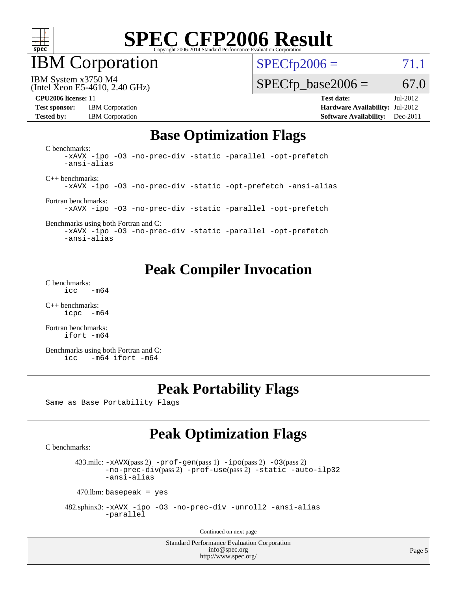

IBM Corporation

 $SPECfp2006 = 71.1$  $SPECfp2006 = 71.1$ 

(Intel Xeon E5-4610, 2.40 GHz) IBM System x3750 M4

 $SPECfp\_base2006 = 67.0$ 

**[Test sponsor:](http://www.spec.org/auto/cpu2006/Docs/result-fields.html#Testsponsor)** IBM Corporation **[Hardware Availability:](http://www.spec.org/auto/cpu2006/Docs/result-fields.html#HardwareAvailability)** Jul-2012

**[CPU2006 license:](http://www.spec.org/auto/cpu2006/Docs/result-fields.html#CPU2006license)** 11 **[Test date:](http://www.spec.org/auto/cpu2006/Docs/result-fields.html#Testdate)** Jul-2012 **[Tested by:](http://www.spec.org/auto/cpu2006/Docs/result-fields.html#Testedby)** IBM Corporation **[Software Availability:](http://www.spec.org/auto/cpu2006/Docs/result-fields.html#SoftwareAvailability)** Dec-2011

#### **[Base Optimization Flags](http://www.spec.org/auto/cpu2006/Docs/result-fields.html#BaseOptimizationFlags)**

[C benchmarks](http://www.spec.org/auto/cpu2006/Docs/result-fields.html#Cbenchmarks): [-xAVX](http://www.spec.org/cpu2006/results/res2012q3/cpu2006-20120716-23718.flags.html#user_CCbase_f-xAVX) [-ipo](http://www.spec.org/cpu2006/results/res2012q3/cpu2006-20120716-23718.flags.html#user_CCbase_f-ipo) [-O3](http://www.spec.org/cpu2006/results/res2012q3/cpu2006-20120716-23718.flags.html#user_CCbase_f-O3) [-no-prec-div](http://www.spec.org/cpu2006/results/res2012q3/cpu2006-20120716-23718.flags.html#user_CCbase_f-no-prec-div) [-static](http://www.spec.org/cpu2006/results/res2012q3/cpu2006-20120716-23718.flags.html#user_CCbase_f-static) [-parallel](http://www.spec.org/cpu2006/results/res2012q3/cpu2006-20120716-23718.flags.html#user_CCbase_f-parallel) [-opt-prefetch](http://www.spec.org/cpu2006/results/res2012q3/cpu2006-20120716-23718.flags.html#user_CCbase_f-opt-prefetch) [-ansi-alias](http://www.spec.org/cpu2006/results/res2012q3/cpu2006-20120716-23718.flags.html#user_CCbase_f-ansi-alias) [C++ benchmarks:](http://www.spec.org/auto/cpu2006/Docs/result-fields.html#CXXbenchmarks) [-xAVX](http://www.spec.org/cpu2006/results/res2012q3/cpu2006-20120716-23718.flags.html#user_CXXbase_f-xAVX) [-ipo](http://www.spec.org/cpu2006/results/res2012q3/cpu2006-20120716-23718.flags.html#user_CXXbase_f-ipo) [-O3](http://www.spec.org/cpu2006/results/res2012q3/cpu2006-20120716-23718.flags.html#user_CXXbase_f-O3) [-no-prec-div](http://www.spec.org/cpu2006/results/res2012q3/cpu2006-20120716-23718.flags.html#user_CXXbase_f-no-prec-div) [-static](http://www.spec.org/cpu2006/results/res2012q3/cpu2006-20120716-23718.flags.html#user_CXXbase_f-static) [-opt-prefetch](http://www.spec.org/cpu2006/results/res2012q3/cpu2006-20120716-23718.flags.html#user_CXXbase_f-opt-prefetch) [-ansi-alias](http://www.spec.org/cpu2006/results/res2012q3/cpu2006-20120716-23718.flags.html#user_CXXbase_f-ansi-alias) [Fortran benchmarks](http://www.spec.org/auto/cpu2006/Docs/result-fields.html#Fortranbenchmarks): [-xAVX](http://www.spec.org/cpu2006/results/res2012q3/cpu2006-20120716-23718.flags.html#user_FCbase_f-xAVX) [-ipo](http://www.spec.org/cpu2006/results/res2012q3/cpu2006-20120716-23718.flags.html#user_FCbase_f-ipo) [-O3](http://www.spec.org/cpu2006/results/res2012q3/cpu2006-20120716-23718.flags.html#user_FCbase_f-O3) [-no-prec-div](http://www.spec.org/cpu2006/results/res2012q3/cpu2006-20120716-23718.flags.html#user_FCbase_f-no-prec-div) [-static](http://www.spec.org/cpu2006/results/res2012q3/cpu2006-20120716-23718.flags.html#user_FCbase_f-static) [-parallel](http://www.spec.org/cpu2006/results/res2012q3/cpu2006-20120716-23718.flags.html#user_FCbase_f-parallel) [-opt-prefetch](http://www.spec.org/cpu2006/results/res2012q3/cpu2006-20120716-23718.flags.html#user_FCbase_f-opt-prefetch) [Benchmarks using both Fortran and C](http://www.spec.org/auto/cpu2006/Docs/result-fields.html#BenchmarksusingbothFortranandC): [-xAVX](http://www.spec.org/cpu2006/results/res2012q3/cpu2006-20120716-23718.flags.html#user_CC_FCbase_f-xAVX) [-ipo](http://www.spec.org/cpu2006/results/res2012q3/cpu2006-20120716-23718.flags.html#user_CC_FCbase_f-ipo) [-O3](http://www.spec.org/cpu2006/results/res2012q3/cpu2006-20120716-23718.flags.html#user_CC_FCbase_f-O3) [-no-prec-div](http://www.spec.org/cpu2006/results/res2012q3/cpu2006-20120716-23718.flags.html#user_CC_FCbase_f-no-prec-div) [-static](http://www.spec.org/cpu2006/results/res2012q3/cpu2006-20120716-23718.flags.html#user_CC_FCbase_f-static) [-parallel](http://www.spec.org/cpu2006/results/res2012q3/cpu2006-20120716-23718.flags.html#user_CC_FCbase_f-parallel) [-opt-prefetch](http://www.spec.org/cpu2006/results/res2012q3/cpu2006-20120716-23718.flags.html#user_CC_FCbase_f-opt-prefetch) [-ansi-alias](http://www.spec.org/cpu2006/results/res2012q3/cpu2006-20120716-23718.flags.html#user_CC_FCbase_f-ansi-alias)

**[Peak Compiler Invocation](http://www.spec.org/auto/cpu2006/Docs/result-fields.html#PeakCompilerInvocation)**

[C benchmarks](http://www.spec.org/auto/cpu2006/Docs/result-fields.html#Cbenchmarks):  $\text{icc}$  -m64

[C++ benchmarks:](http://www.spec.org/auto/cpu2006/Docs/result-fields.html#CXXbenchmarks) [icpc -m64](http://www.spec.org/cpu2006/results/res2012q3/cpu2006-20120716-23718.flags.html#user_CXXpeak_intel_icpc_64bit_bedb90c1146cab66620883ef4f41a67e)

[Fortran benchmarks](http://www.spec.org/auto/cpu2006/Docs/result-fields.html#Fortranbenchmarks): [ifort -m64](http://www.spec.org/cpu2006/results/res2012q3/cpu2006-20120716-23718.flags.html#user_FCpeak_intel_ifort_64bit_ee9d0fb25645d0210d97eb0527dcc06e)

[Benchmarks using both Fortran and C](http://www.spec.org/auto/cpu2006/Docs/result-fields.html#BenchmarksusingbothFortranandC): [icc -m64](http://www.spec.org/cpu2006/results/res2012q3/cpu2006-20120716-23718.flags.html#user_CC_FCpeak_intel_icc_64bit_0b7121f5ab7cfabee23d88897260401c) [ifort -m64](http://www.spec.org/cpu2006/results/res2012q3/cpu2006-20120716-23718.flags.html#user_CC_FCpeak_intel_ifort_64bit_ee9d0fb25645d0210d97eb0527dcc06e)

### **[Peak Portability Flags](http://www.spec.org/auto/cpu2006/Docs/result-fields.html#PeakPortabilityFlags)**

Same as Base Portability Flags

### **[Peak Optimization Flags](http://www.spec.org/auto/cpu2006/Docs/result-fields.html#PeakOptimizationFlags)**

[C benchmarks](http://www.spec.org/auto/cpu2006/Docs/result-fields.html#Cbenchmarks):

433.milc:  $-x$ AVX(pass 2)  $-p$ rof-gen(pass 1)  $-p$ po(pass 2)  $-03$ (pass 2) [-no-prec-div](http://www.spec.org/cpu2006/results/res2012q3/cpu2006-20120716-23718.flags.html#user_peakPASS2_CFLAGSPASS2_LDFLAGS433_milc_f-no-prec-div)(pass 2) [-prof-use](http://www.spec.org/cpu2006/results/res2012q3/cpu2006-20120716-23718.flags.html#user_peakPASS2_CFLAGSPASS2_LDFLAGS433_milc_prof_use_bccf7792157ff70d64e32fe3e1250b55)(pass 2) [-static](http://www.spec.org/cpu2006/results/res2012q3/cpu2006-20120716-23718.flags.html#user_peakOPTIMIZE433_milc_f-static) [-auto-ilp32](http://www.spec.org/cpu2006/results/res2012q3/cpu2006-20120716-23718.flags.html#user_peakCOPTIMIZE433_milc_f-auto-ilp32) [-ansi-alias](http://www.spec.org/cpu2006/results/res2012q3/cpu2006-20120716-23718.flags.html#user_peakCOPTIMIZE433_milc_f-ansi-alias)

 $470$ .lbm: basepeak = yes

 482.sphinx3: [-xAVX](http://www.spec.org/cpu2006/results/res2012q3/cpu2006-20120716-23718.flags.html#user_peakOPTIMIZE482_sphinx3_f-xAVX) [-ipo](http://www.spec.org/cpu2006/results/res2012q3/cpu2006-20120716-23718.flags.html#user_peakOPTIMIZE482_sphinx3_f-ipo) [-O3](http://www.spec.org/cpu2006/results/res2012q3/cpu2006-20120716-23718.flags.html#user_peakOPTIMIZE482_sphinx3_f-O3) [-no-prec-div](http://www.spec.org/cpu2006/results/res2012q3/cpu2006-20120716-23718.flags.html#user_peakOPTIMIZE482_sphinx3_f-no-prec-div) [-unroll2](http://www.spec.org/cpu2006/results/res2012q3/cpu2006-20120716-23718.flags.html#user_peakCOPTIMIZE482_sphinx3_f-unroll_784dae83bebfb236979b41d2422d7ec2) [-ansi-alias](http://www.spec.org/cpu2006/results/res2012q3/cpu2006-20120716-23718.flags.html#user_peakCOPTIMIZE482_sphinx3_f-ansi-alias) [-parallel](http://www.spec.org/cpu2006/results/res2012q3/cpu2006-20120716-23718.flags.html#user_peakCOPTIMIZE482_sphinx3_f-parallel)

Continued on next page

Standard Performance Evaluation Corporation [info@spec.org](mailto:info@spec.org) <http://www.spec.org/>

Page 5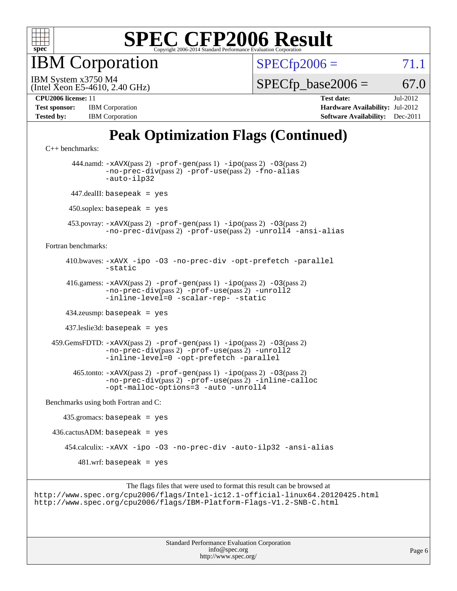

IBM Corporation

 $SPECfp2006 = 71.1$  $SPECfp2006 = 71.1$ 

(Intel Xeon E5-4610, 2.40 GHz) IBM System x3750 M4

 $SPECTp\_base2006 = 67.0$ 

| <b>Test sponsor:</b> | <b>IBM</b> Corporation |
|----------------------|------------------------|
| <b>Tested by:</b>    | <b>IBM</b> Corporation |

**[CPU2006 license:](http://www.spec.org/auto/cpu2006/Docs/result-fields.html#CPU2006license)** 11 **[Test date:](http://www.spec.org/auto/cpu2006/Docs/result-fields.html#Testdate)** Jul-2012 **[Hardware Availability:](http://www.spec.org/auto/cpu2006/Docs/result-fields.html#HardwareAvailability)** Jul-2012 **[Software Availability:](http://www.spec.org/auto/cpu2006/Docs/result-fields.html#SoftwareAvailability)** Dec-2011

## **[Peak Optimization Flags \(Continued\)](http://www.spec.org/auto/cpu2006/Docs/result-fields.html#PeakOptimizationFlags)**

```
C++ benchmarks: 
       444.namd: -xAVX(pass 2) -prof-gen(pass 1) -ipo(pass 2) -O3(pass 2)
               -no-prec-div(pass 2) -prof-use(pass 2) -fno-alias
               -auto-ilp32
       447.dealII: basepeak = yes
      450.soplex: basepeak = yes
      453.povray: -xAVX(pass 2) -prof-gen(pass 1) -ipo(pass 2) -O3(pass 2)
               -no-prec-div(pass 2) -prof-use(pass 2) -unroll4 -ansi-alias
Fortran benchmarks: 
      410.bwaves: -xAVX -ipo -O3 -no-prec-div -opt-prefetch -parallel
               -static
      416.gamess: -xAVX(pass 2) -prof-gen(pass 1) -ipo(pass 2) -O3(pass 2)
                -no-prec-div(pass 2) -prof-use(pass 2) -unroll2
               -inline-level=0-scalar-rep--static
      434.zeusmp: basepeak = yes
      437.leslie3d: basepeak = yes
  459.GemsFDTD: -xAVX(pass 2) -prof-gen(pass 1) -ipo(pass 2) -O3(pass 2)
               -no-prec-div(pass 2) -prof-use(pass 2) -unroll2
               -inline-level=0 -opt-prefetch -parallel
        465.tonto: -xAVX(pass 2) -prof-gen(pass 1) -ipo(pass 2) -O3(pass 2)
               -no-prec-div(pass 2) -prof-use(pass 2) -inline-calloc
               -opt-malloc-options=3 -auto -unroll4
Benchmarks using both Fortran and C: 
    435.\text{gromacs: basepeak} = yes
 436.cactusADM:basepeak = yes 454.calculix: -xAVX -ipo -O3 -no-prec-div -auto-ilp32 -ansi-alias
        481.wrf: basepeak = yes
```

```
The flags files that were used to format this result can be browsed at
http://www.spec.org/cpu2006/flags/Intel-ic12.1-official-linux64.20120425.html
http://www.spec.org/cpu2006/flags/IBM-Platform-Flags-V1.2-SNB-C.html
```